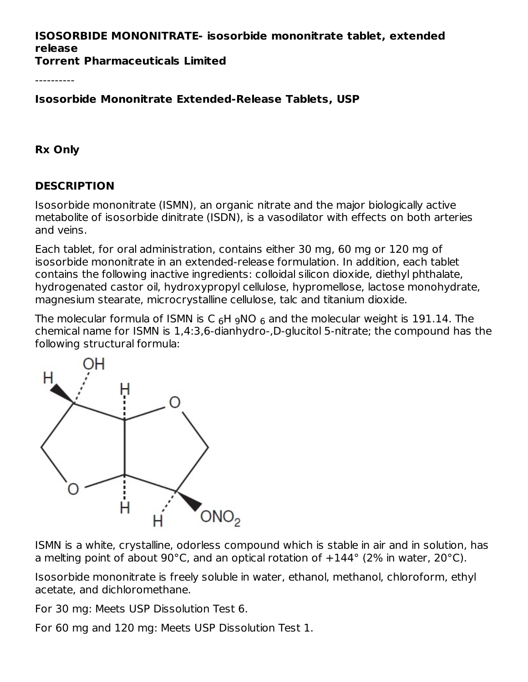## **ISOSORBIDE MONONITRATE- isosorbide mononitrate tablet, extended release**

**Torrent Pharmaceuticals Limited**

----------

**Isosorbide Mononitrate Extended-Release Tablets, USP**

**Rx Only**

## **DESCRIPTION**

Isosorbide mononitrate (ISMN), an organic nitrate and the major biologically active metabolite of isosorbide dinitrate (ISDN), is a vasodilator with effects on both arteries and veins.

Each tablet, for oral administration, contains either 30 mg, 60 mg or 120 mg of isosorbide mononitrate in an extended-release formulation. In addition, each tablet contains the following inactive ingredients: colloidal silicon dioxide, diethyl phthalate, hydrogenated castor oil, hydroxypropyl cellulose, hypromellose, lactose monohydrate, magnesium stearate, microcrystalline cellulose, talc and titanium dioxide.

The molecular formula of ISMN is C  $_6$ H  $_9$ NO  $_6$  and the molecular weight is 191.14. The chemical name for ISMN is 1,4:3,6-dianhydro-,D-glucitol 5-nitrate; the compound has the following structural formula:



ISMN is a white, crystalline, odorless compound which is stable in air and in solution, has a melting point of about 90°C, and an optical rotation of  $+144^{\circ}$  (2% in water, 20°C).

Isosorbide mononitrate is freely soluble in water, ethanol, methanol, chloroform, ethyl acetate, and dichloromethane.

For 30 mg: Meets USP Dissolution Test 6.

For 60 mg and 120 mg: Meets USP Dissolution Test 1.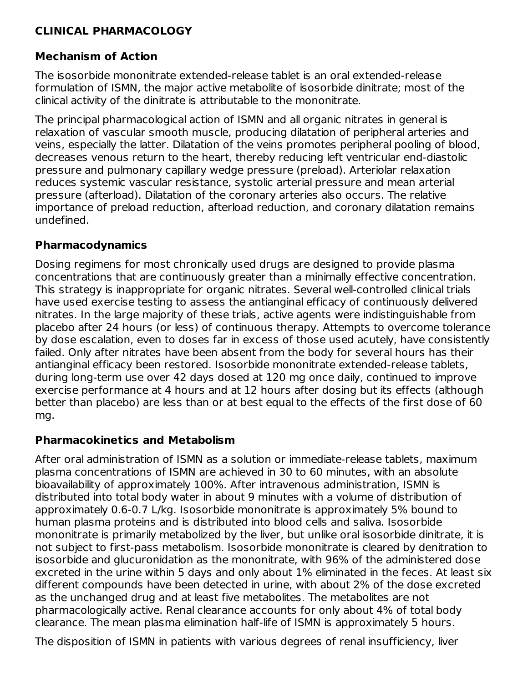### **CLINICAL PHARMACOLOGY**

## **Mechanism of Action**

The isosorbide mononitrate extended-release tablet is an oral extended-release formulation of ISMN, the major active metabolite of isosorbide dinitrate; most of the clinical activity of the dinitrate is attributable to the mononitrate.

The principal pharmacological action of ISMN and all organic nitrates in general is relaxation of vascular smooth muscle, producing dilatation of peripheral arteries and veins, especially the latter. Dilatation of the veins promotes peripheral pooling of blood, decreases venous return to the heart, thereby reducing left ventricular end-diastolic pressure and pulmonary capillary wedge pressure (preload). Arteriolar relaxation reduces systemic vascular resistance, systolic arterial pressure and mean arterial pressure (afterload). Dilatation of the coronary arteries also occurs. The relative importance of preload reduction, afterload reduction, and coronary dilatation remains undefined.

#### **Pharmacodynamics**

Dosing regimens for most chronically used drugs are designed to provide plasma concentrations that are continuously greater than a minimally effective concentration. This strategy is inappropriate for organic nitrates. Several well-controlled clinical trials have used exercise testing to assess the antianginal efficacy of continuously delivered nitrates. In the large majority of these trials, active agents were indistinguishable from placebo after 24 hours (or less) of continuous therapy. Attempts to overcome tolerance by dose escalation, even to doses far in excess of those used acutely, have consistently failed. Only after nitrates have been absent from the body for several hours has their antianginal efficacy been restored. Isosorbide mononitrate extended-release tablets, during long-term use over 42 days dosed at 120 mg once daily, continued to improve exercise performance at 4 hours and at 12 hours after dosing but its effects (although better than placebo) are less than or at best equal to the effects of the first dose of 60 mg.

#### **Pharmacokinetics and Metabolism**

After oral administration of ISMN as a solution or immediate-release tablets, maximum plasma concentrations of ISMN are achieved in 30 to 60 minutes, with an absolute bioavailability of approximately 100%. After intravenous administration, ISMN is distributed into total body water in about 9 minutes with a volume of distribution of approximately 0.6-0.7 L/kg. Isosorbide mononitrate is approximately 5% bound to human plasma proteins and is distributed into blood cells and saliva. Isosorbide mononitrate is primarily metabolized by the liver, but unlike oral isosorbide dinitrate, it is not subject to first-pass metabolism. Isosorbide mononitrate is cleared by denitration to isosorbide and glucuronidation as the mononitrate, with 96% of the administered dose excreted in the urine within 5 days and only about 1% eliminated in the feces. At least six different compounds have been detected in urine, with about 2% of the dose excreted as the unchanged drug and at least five metabolites. The metabolites are not pharmacologically active. Renal clearance accounts for only about 4% of total body clearance. The mean plasma elimination half-life of ISMN is approximately 5 hours.

The disposition of ISMN in patients with various degrees of renal insufficiency, liver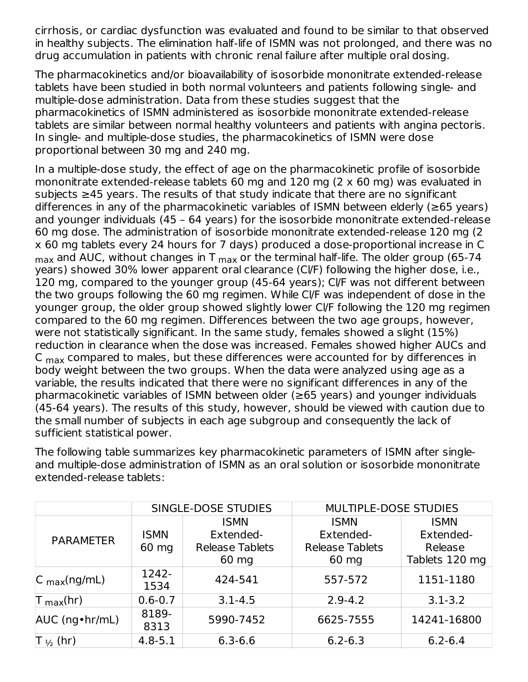cirrhosis, or cardiac dysfunction was evaluated and found to be similar to that observed in healthy subjects. The elimination half-life of ISMN was not prolonged, and there was no drug accumulation in patients with chronic renal failure after multiple oral dosing.

The pharmacokinetics and/or bioavailability of isosorbide mononitrate extended-release tablets have been studied in both normal volunteers and patients following single- and multiple-dose administration. Data from these studies suggest that the pharmacokinetics of ISMN administered as isosorbide mononitrate extended-release tablets are similar between normal healthy volunteers and patients with angina pectoris. In single- and multiple-dose studies, the pharmacokinetics of ISMN were dose proportional between 30 mg and 240 mg.

In a multiple-dose study, the effect of age on the pharmacokinetic profile of isosorbide mononitrate extended-release tablets 60 mg and 120 mg (2 x 60 mg) was evaluated in subjects ≥45 years. The results of that study indicate that there are no significant differences in any of the pharmacokinetic variables of ISMN between elderly ( $\geq 65$  years) and younger individuals (45 – 64 years) for the isosorbide mononitrate extended-release 60 mg dose. The administration of isosorbide mononitrate extended-release 120 mg (2 x 60 mg tablets every 24 hours for 7 days) produced a dose-proportional increase in C  $_{\sf max}$  and AUC, without changes in T  $_{\sf max}$  or the terminal half-life. The older group (65-74  $\,$ years) showed 30% lower apparent oral clearance (Cl/F) following the higher dose, i.e., 120 mg, compared to the younger group (45-64 years); Cl/F was not different between the two groups following the 60 mg regimen. While Cl/F was independent of dose in the younger group, the older group showed slightly lower Cl/F following the 120 mg regimen compared to the 60 mg regimen. Differences between the two age groups, however, were not statistically significant. In the same study, females showed a slight (15%) reduction in clearance when the dose was increased. Females showed higher AUCs and C  $_{\sf max}$  compared to males, but these differences were accounted for by differences in body weight between the two groups. When the data were analyzed using age as a variable, the results indicated that there were no significant differences in any of the pharmacokinetic variables of ISMN between older (≥65 years) and younger individuals (45-64 years). The results of this study, however, should be viewed with caution due to the small number of subjects in each age subgroup and consequently the lack of sufficient statistical power.

The following table summarizes key pharmacokinetic parameters of ISMN after singleand multiple-dose administration of ISMN as an oral solution or isosorbide mononitrate extended-release tablets:

|                                 |               | SINGLE-DOSE STUDIES    | <b>MULTIPLE-DOSE STUDIES</b> |                |  |  |
|---------------------------------|---------------|------------------------|------------------------------|----------------|--|--|
|                                 |               | <b>ISMN</b>            | <b>ISMN</b>                  | <b>ISMN</b>    |  |  |
| <b>PARAMETER</b>                | <b>ISMN</b>   | Extended-              | Extended-                    | Extended-      |  |  |
|                                 | 60 mg         | <b>Release Tablets</b> | <b>Release Tablets</b>       | Release        |  |  |
|                                 |               | $60 \text{ mg}$        | $60 \text{ mg}$<br>557-572   | Tablets 120 mg |  |  |
| $ C_{\text{max}}(ng/mL) $       | 1242-<br>1534 | 424-541                |                              | 1151-1180      |  |  |
| $\mathsf T_{\mathsf{max}}$ (hr) | $0.6 - 0.7$   | $3.1 - 4.5$            | $2.9 - 4.2$                  | $3.1 - 3.2$    |  |  |
| AUC (ng • hr/mL)                | 8189-<br>8313 | 5990-7452              | 6625-7555                    | 14241-16800    |  |  |
| $\mathsf{T}_{\frac{1}{2}}$ (hr) | $4.8 - 5.1$   | $6.3 - 6.6$            | $6.2 - 6.3$                  | $6.2 - 6.4$    |  |  |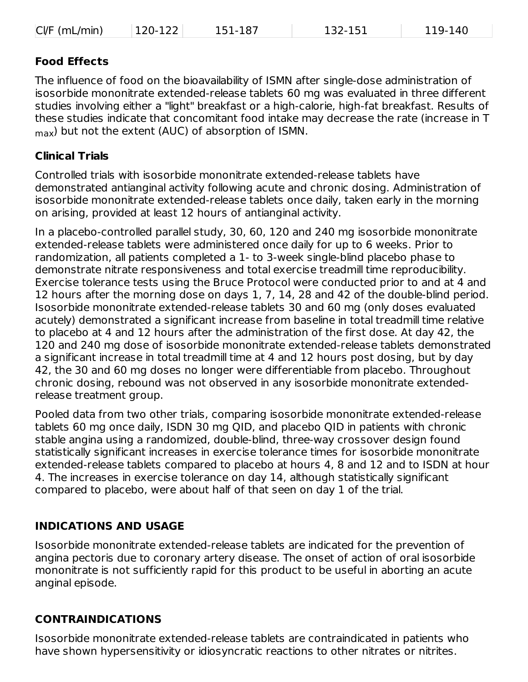| $CVF$ (mL/min) | $ 120-122 $ | 151-187 | 132-151 | 119-140 |
|----------------|-------------|---------|---------|---------|
|----------------|-------------|---------|---------|---------|

#### **Food Effects**

The influence of food on the bioavailability of ISMN after single-dose administration of isosorbide mononitrate extended-release tablets 60 mg was evaluated in three different studies involving either a "light" breakfast or a high-calorie, high-fat breakfast. Results of these studies indicate that concomitant food intake may decrease the rate (increase in T  $_{\sf max}$ ) but not the extent (AUC) of absorption of ISMN.

#### **Clinical Trials**

Controlled trials with isosorbide mononitrate extended-release tablets have demonstrated antianginal activity following acute and chronic dosing. Administration of isosorbide mononitrate extended-release tablets once daily, taken early in the morning on arising, provided at least 12 hours of antianginal activity.

In a placebo-controlled parallel study, 30, 60, 120 and 240 mg isosorbide mononitrate extended-release tablets were administered once daily for up to 6 weeks. Prior to randomization, all patients completed a 1- to 3-week single-blind placebo phase to demonstrate nitrate responsiveness and total exercise treadmill time reproducibility. Exercise tolerance tests using the Bruce Protocol were conducted prior to and at 4 and 12 hours after the morning dose on days 1, 7, 14, 28 and 42 of the double-blind period. Isosorbide mononitrate extended-release tablets 30 and 60 mg (only doses evaluated acutely) demonstrated a significant increase from baseline in total treadmill time relative to placebo at 4 and 12 hours after the administration of the first dose. At day 42, the 120 and 240 mg dose of isosorbide mononitrate extended-release tablets demonstrated a significant increase in total treadmill time at 4 and 12 hours post dosing, but by day 42, the 30 and 60 mg doses no longer were differentiable from placebo. Throughout chronic dosing, rebound was not observed in any isosorbide mononitrate extendedrelease treatment group.

Pooled data from two other trials, comparing isosorbide mononitrate extended-release tablets 60 mg once daily, ISDN 30 mg QID, and placebo QID in patients with chronic stable angina using a randomized, double-blind, three-way crossover design found statistically significant increases in exercise tolerance times for isosorbide mononitrate extended-release tablets compared to placebo at hours 4, 8 and 12 and to ISDN at hour 4. The increases in exercise tolerance on day 14, although statistically significant compared to placebo, were about half of that seen on day 1 of the trial.

#### **INDICATIONS AND USAGE**

Isosorbide mononitrate extended-release tablets are indicated for the prevention of angina pectoris due to coronary artery disease. The onset of action of oral isosorbide mononitrate is not sufficiently rapid for this product to be useful in aborting an acute anginal episode.

#### **CONTRAINDICATIONS**

Isosorbide mononitrate extended-release tablets are contraindicated in patients who have shown hypersensitivity or idiosyncratic reactions to other nitrates or nitrites.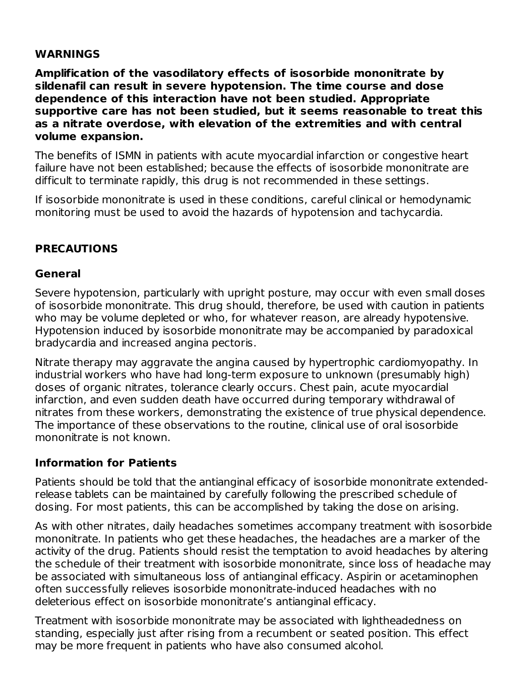#### **WARNINGS**

**Amplification of the vasodilatory effects of isosorbide mononitrate by sildenafil can result in severe hypotension. The time course and dose dependence of this interaction have not been studied. Appropriate supportive care has not been studied, but it seems reasonable to treat this as a nitrate overdose, with elevation of the extremities and with central volume expansion.**

The benefits of ISMN in patients with acute myocardial infarction or congestive heart failure have not been established; because the effects of isosorbide mononitrate are difficult to terminate rapidly, this drug is not recommended in these settings.

If isosorbide mononitrate is used in these conditions, careful clinical or hemodynamic monitoring must be used to avoid the hazards of hypotension and tachycardia.

## **PRECAUTIONS**

#### **General**

Severe hypotension, particularly with upright posture, may occur with even small doses of isosorbide mononitrate. This drug should, therefore, be used with caution in patients who may be volume depleted or who, for whatever reason, are already hypotensive. Hypotension induced by isosorbide mononitrate may be accompanied by paradoxical bradycardia and increased angina pectoris.

Nitrate therapy may aggravate the angina caused by hypertrophic cardiomyopathy. In industrial workers who have had long-term exposure to unknown (presumably high) doses of organic nitrates, tolerance clearly occurs. Chest pain, acute myocardial infarction, and even sudden death have occurred during temporary withdrawal of nitrates from these workers, demonstrating the existence of true physical dependence. The importance of these observations to the routine, clinical use of oral isosorbide mononitrate is not known.

#### **Information for Patients**

Patients should be told that the antianginal efficacy of isosorbide mononitrate extendedrelease tablets can be maintained by carefully following the prescribed schedule of dosing. For most patients, this can be accomplished by taking the dose on arising.

As with other nitrates, daily headaches sometimes accompany treatment with isosorbide mononitrate. In patients who get these headaches, the headaches are a marker of the activity of the drug. Patients should resist the temptation to avoid headaches by altering the schedule of their treatment with isosorbide mononitrate, since loss of headache may be associated with simultaneous loss of antianginal efficacy. Aspirin or acetaminophen often successfully relieves isosorbide mononitrate-induced headaches with no deleterious effect on isosorbide mononitrate's antianginal efficacy.

Treatment with isosorbide mononitrate may be associated with lightheadedness on standing, especially just after rising from a recumbent or seated position. This effect may be more frequent in patients who have also consumed alcohol.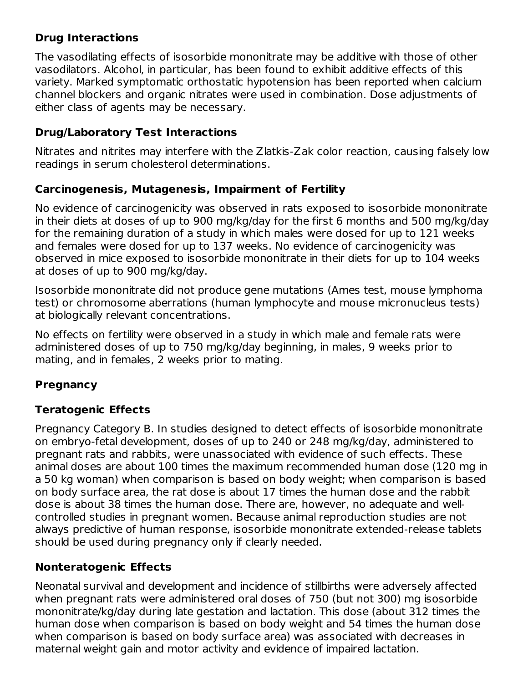### **Drug Interactions**

The vasodilating effects of isosorbide mononitrate may be additive with those of other vasodilators. Alcohol, in particular, has been found to exhibit additive effects of this variety. Marked symptomatic orthostatic hypotension has been reported when calcium channel blockers and organic nitrates were used in combination. Dose adjustments of either class of agents may be necessary.

### **Drug/Laboratory Test Interactions**

Nitrates and nitrites may interfere with the Zlatkis-Zak color reaction, causing falsely low readings in serum cholesterol determinations.

#### **Carcinogenesis, Mutagenesis, Impairment of Fertility**

No evidence of carcinogenicity was observed in rats exposed to isosorbide mononitrate in their diets at doses of up to 900 mg/kg/day for the first 6 months and 500 mg/kg/day for the remaining duration of a study in which males were dosed for up to 121 weeks and females were dosed for up to 137 weeks. No evidence of carcinogenicity was observed in mice exposed to isosorbide mononitrate in their diets for up to 104 weeks at doses of up to 900 mg/kg/day.

Isosorbide mononitrate did not produce gene mutations (Ames test, mouse lymphoma test) or chromosome aberrations (human lymphocyte and mouse micronucleus tests) at biologically relevant concentrations.

No effects on fertility were observed in a study in which male and female rats were administered doses of up to 750 mg/kg/day beginning, in males, 9 weeks prior to mating, and in females, 2 weeks prior to mating.

## **Pregnancy**

#### **Teratogenic Effects**

Pregnancy Category B. In studies designed to detect effects of isosorbide mononitrate on embryo-fetal development, doses of up to 240 or 248 mg/kg/day, administered to pregnant rats and rabbits, were unassociated with evidence of such effects. These animal doses are about 100 times the maximum recommended human dose (120 mg in a 50 kg woman) when comparison is based on body weight; when comparison is based on body surface area, the rat dose is about 17 times the human dose and the rabbit dose is about 38 times the human dose. There are, however, no adequate and wellcontrolled studies in pregnant women. Because animal reproduction studies are not always predictive of human response, isosorbide mononitrate extended-release tablets should be used during pregnancy only if clearly needed.

## **Nonteratogenic Effects**

Neonatal survival and development and incidence of stillbirths were adversely affected when pregnant rats were administered oral doses of 750 (but not 300) mg isosorbide mononitrate/kg/day during late gestation and lactation. This dose (about 312 times the human dose when comparison is based on body weight and 54 times the human dose when comparison is based on body surface area) was associated with decreases in maternal weight gain and motor activity and evidence of impaired lactation.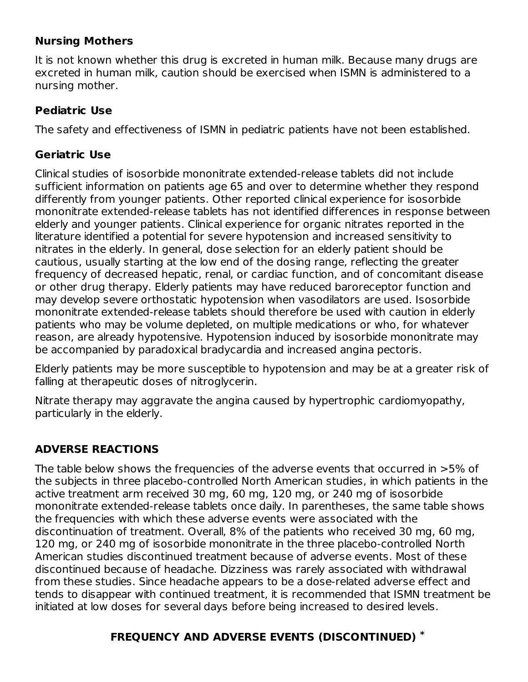#### **Nursing Mothers**

It is not known whether this drug is excreted in human milk. Because many drugs are excreted in human milk, caution should be exercised when ISMN is administered to a nursing mother.

#### **Pediatric Use**

The safety and effectiveness of ISMN in pediatric patients have not been established.

#### **Geriatric Use**

Clinical studies of isosorbide mononitrate extended-release tablets did not include sufficient information on patients age 65 and over to determine whether they respond differently from younger patients. Other reported clinical experience for isosorbide mononitrate extended-release tablets has not identified differences in response between elderly and younger patients. Clinical experience for organic nitrates reported in the literature identified a potential for severe hypotension and increased sensitivity to nitrates in the elderly. In general, dose selection for an elderly patient should be cautious, usually starting at the low end of the dosing range, reflecting the greater frequency of decreased hepatic, renal, or cardiac function, and of concomitant disease or other drug therapy. Elderly patients may have reduced baroreceptor function and may develop severe orthostatic hypotension when vasodilators are used. Isosorbide mononitrate extended-release tablets should therefore be used with caution in elderly patients who may be volume depleted, on multiple medications or who, for whatever reason, are already hypotensive. Hypotension induced by isosorbide mononitrate may be accompanied by paradoxical bradycardia and increased angina pectoris.

Elderly patients may be more susceptible to hypotension and may be at a greater risk of falling at therapeutic doses of nitroglycerin.

Nitrate therapy may aggravate the angina caused by hypertrophic cardiomyopathy, particularly in the elderly.

#### **ADVERSE REACTIONS**

The table below shows the frequencies of the adverse events that occurred in >5% of the subjects in three placebo-controlled North American studies, in which patients in the active treatment arm received 30 mg, 60 mg, 120 mg, or 240 mg of isosorbide mononitrate extended-release tablets once daily. In parentheses, the same table shows the frequencies with which these adverse events were associated with the discontinuation of treatment. Overall, 8% of the patients who received 30 mg, 60 mg, 120 mg, or 240 mg of isosorbide mononitrate in the three placebo-controlled North American studies discontinued treatment because of adverse events. Most of these discontinued because of headache. Dizziness was rarely associated with withdrawal from these studies. Since headache appears to be a dose-related adverse effect and tends to disappear with continued treatment, it is recommended that ISMN treatment be initiated at low doses for several days before being increased to desired levels.

## **FREQUENCY AND ADVERSE EVENTS (DISCONTINUED) \***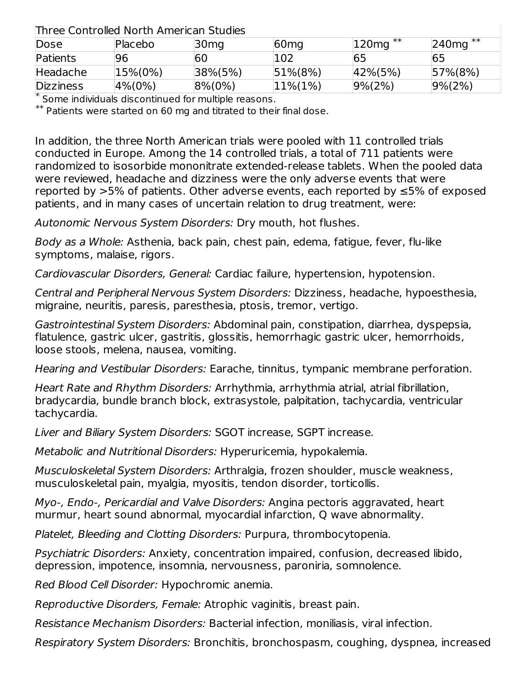### Three Controlled North American Studies

| THE CC CONTROLLOP INOTED ANTICHCAN DEUGICS |                |                  |                  |               |               |
|--------------------------------------------|----------------|------------------|------------------|---------------|---------------|
| Dose                                       | Placebo        | 30 <sub>mg</sub> | 60 <sub>mg</sub> | $120mg**$     | $240mg**$     |
| Patients                                   | 96             | 60               | 102              | 65            | 65            |
| Headache                                   | $ 15\% (0\%) $ | $ 38\% (5\%)$    | $ 51\% (8\%)$    | $ 42\% (5\%)$ | $ 57\% (8\%)$ |
| <b>Dizziness</b>                           | $ 4\% (0\%)$   | $ 8\% (0\%)$     | $ 11\% (1\%)$    | $ 9\% (2\%)$  | $ 9\% (2\%)$  |

Some individuals discontinued for multiple reasons. \*

 $^{**}$  Patients were started on 60 mg and titrated to their final dose.

In addition, the three North American trials were pooled with 11 controlled trials conducted in Europe. Among the 14 controlled trials, a total of 711 patients were randomized to isosorbide mononitrate extended-release tablets. When the pooled data were reviewed, headache and dizziness were the only adverse events that were reported by >5% of patients. Other adverse events, each reported by ≤5% of exposed patients, and in many cases of uncertain relation to drug treatment, were:

Autonomic Nervous System Disorders: Dry mouth, hot flushes.

Body as a Whole: Asthenia, back pain, chest pain, edema, fatigue, fever, flu-like symptoms, malaise, rigors.

Cardiovascular Disorders, General: Cardiac failure, hypertension, hypotension.

Central and Peripheral Nervous System Disorders: Dizziness, headache, hypoesthesia, migraine, neuritis, paresis, paresthesia, ptosis, tremor, vertigo.

Gastrointestinal System Disorders: Abdominal pain, constipation, diarrhea, dyspepsia, flatulence, gastric ulcer, gastritis, glossitis, hemorrhagic gastric ulcer, hemorrhoids, loose stools, melena, nausea, vomiting.

Hearing and Vestibular Disorders: Earache, tinnitus, tympanic membrane perforation.

Heart Rate and Rhythm Disorders: Arrhythmia, arrhythmia atrial, atrial fibrillation, bradycardia, bundle branch block, extrasystole, palpitation, tachycardia, ventricular tachycardia.

Liver and Biliary System Disorders: SGOT increase, SGPT increase.

Metabolic and Nutritional Disorders: Hyperuricemia, hypokalemia.

Musculoskeletal System Disorders: Arthralgia, frozen shoulder, muscle weakness, musculoskeletal pain, myalgia, myositis, tendon disorder, torticollis.

Myo-, Endo-, Pericardial and Valve Disorders: Angina pectoris aggravated, heart murmur, heart sound abnormal, myocardial infarction, Q wave abnormality.

Platelet, Bleeding and Clotting Disorders: Purpura, thrombocytopenia.

Psychiatric Disorders: Anxiety, concentration impaired, confusion, decreased libido, depression, impotence, insomnia, nervousness, paroniria, somnolence.

Red Blood Cell Disorder: Hypochromic anemia.

Reproductive Disorders, Female: Atrophic vaginitis, breast pain.

Resistance Mechanism Disorders: Bacterial infection, moniliasis, viral infection.

Respiratory System Disorders: Bronchitis, bronchospasm, coughing, dyspnea, increased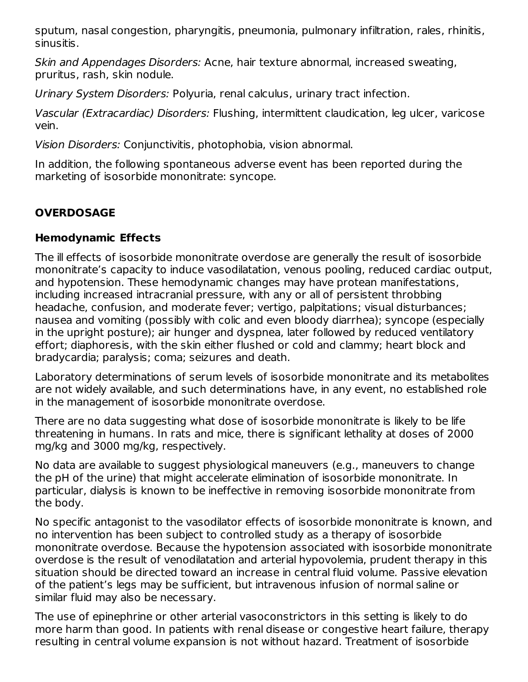sputum, nasal congestion, pharyngitis, pneumonia, pulmonary infiltration, rales, rhinitis, sinusitis.

Skin and Appendages Disorders: Acne, hair texture abnormal, increased sweating, pruritus, rash, skin nodule.

Urinary System Disorders: Polyuria, renal calculus, urinary tract infection.

Vascular (Extracardiac) Disorders: Flushing, intermittent claudication, leg ulcer, varicose vein.

Vision Disorders: Conjunctivitis, photophobia, vision abnormal.

In addition, the following spontaneous adverse event has been reported during the marketing of isosorbide mononitrate: syncope.

## **OVERDOSAGE**

## **Hemodynamic Effects**

The ill effects of isosorbide mononitrate overdose are generally the result of isosorbide mononitrate's capacity to induce vasodilatation, venous pooling, reduced cardiac output, and hypotension. These hemodynamic changes may have protean manifestations, including increased intracranial pressure, with any or all of persistent throbbing headache, confusion, and moderate fever; vertigo, palpitations; visual disturbances; nausea and vomiting (possibly with colic and even bloody diarrhea); syncope (especially in the upright posture); air hunger and dyspnea, later followed by reduced ventilatory effort; diaphoresis, with the skin either flushed or cold and clammy; heart block and bradycardia; paralysis; coma; seizures and death.

Laboratory determinations of serum levels of isosorbide mononitrate and its metabolites are not widely available, and such determinations have, in any event, no established role in the management of isosorbide mononitrate overdose.

There are no data suggesting what dose of isosorbide mononitrate is likely to be life threatening in humans. In rats and mice, there is significant lethality at doses of 2000 mg/kg and 3000 mg/kg, respectively.

No data are available to suggest physiological maneuvers (e.g., maneuvers to change the pH of the urine) that might accelerate elimination of isosorbide mononitrate. In particular, dialysis is known to be ineffective in removing isosorbide mononitrate from the body.

No specific antagonist to the vasodilator effects of isosorbide mononitrate is known, and no intervention has been subject to controlled study as a therapy of isosorbide mononitrate overdose. Because the hypotension associated with isosorbide mononitrate overdose is the result of venodilatation and arterial hypovolemia, prudent therapy in this situation should be directed toward an increase in central fluid volume. Passive elevation of the patient's legs may be sufficient, but intravenous infusion of normal saline or similar fluid may also be necessary.

The use of epinephrine or other arterial vasoconstrictors in this setting is likely to do more harm than good. In patients with renal disease or congestive heart failure, therapy resulting in central volume expansion is not without hazard. Treatment of isosorbide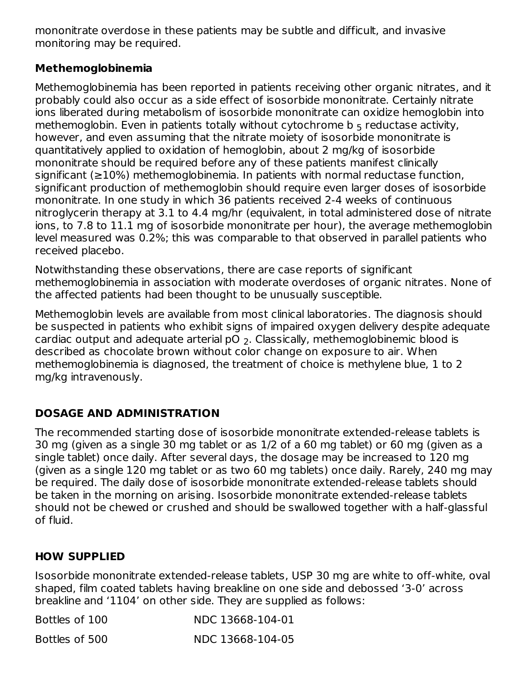mononitrate overdose in these patients may be subtle and difficult, and invasive monitoring may be required.

#### **Methemoglobinemia**

Methemoglobinemia has been reported in patients receiving other organic nitrates, and it probably could also occur as a side effect of isosorbide mononitrate. Certainly nitrate ions liberated during metabolism of isosorbide mononitrate can oxidize hemoglobin into methemoglobin. Even in patients totally without cytochrome  $\mathsf b_5$  reductase activity, however, and even assuming that the nitrate moiety of isosorbide mononitrate is quantitatively applied to oxidation of hemoglobin, about 2 mg/kg of isosorbide mononitrate should be required before any of these patients manifest clinically significant (≥10%) methemoglobinemia. In patients with normal reductase function, significant production of methemoglobin should require even larger doses of isosorbide mononitrate. In one study in which 36 patients received 2-4 weeks of continuous nitroglycerin therapy at 3.1 to 4.4 mg/hr (equivalent, in total administered dose of nitrate ions, to 7.8 to 11.1 mg of isosorbide mononitrate per hour), the average methemoglobin level measured was 0.2%; this was comparable to that observed in parallel patients who received placebo.

Notwithstanding these observations, there are case reports of significant methemoglobinemia in association with moderate overdoses of organic nitrates. None of the affected patients had been thought to be unusually susceptible.

Methemoglobin levels are available from most clinical laboratories. The diagnosis should be suspected in patients who exhibit signs of impaired oxygen delivery despite adequate cardiac output and adequate arterial pO  $_2$ . Classically, methemoglobinemic blood is described as chocolate brown without color change on exposure to air. When methemoglobinemia is diagnosed, the treatment of choice is methylene blue, 1 to 2 mg/kg intravenously.

## **DOSAGE AND ADMINISTRATION**

The recommended starting dose of isosorbide mononitrate extended-release tablets is 30 mg (given as a single 30 mg tablet or as 1/2 of a 60 mg tablet) or 60 mg (given as a single tablet) once daily. After several days, the dosage may be increased to 120 mg (given as a single 120 mg tablet or as two 60 mg tablets) once daily. Rarely, 240 mg may be required. The daily dose of isosorbide mononitrate extended-release tablets should be taken in the morning on arising. Isosorbide mononitrate extended-release tablets should not be chewed or crushed and should be swallowed together with a half-glassful of fluid.

#### **HOW SUPPLIED**

Isosorbide mononitrate extended-release tablets, USP 30 mg are white to off-white, oval shaped, film coated tablets having breakline on one side and debossed '3-0' across breakline and '1104' on other side. They are supplied as follows:

| Bottles of 100 | NDC 13668-104-01 |
|----------------|------------------|
| Bottles of 500 | NDC 13668-104-05 |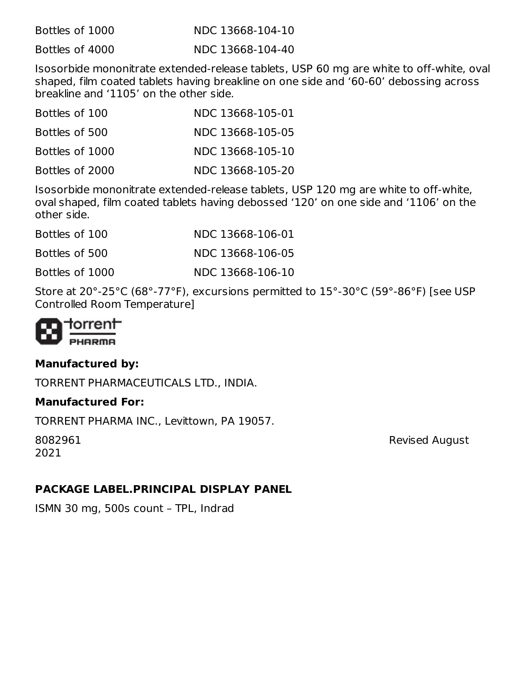| Bottles of 1000 | NDC 13668-104-10 |
|-----------------|------------------|
| Bottles of 4000 | NDC 13668-104-40 |

Isosorbide mononitrate extended-release tablets, USP 60 mg are white to off-white, oval shaped, film coated tablets having breakline on one side and '60-60' debossing across breakline and '1105' on the other side.

| Bottles of 100  | NDC 13668-105-01 |
|-----------------|------------------|
| Bottles of 500  | NDC 13668-105-05 |
| Bottles of 1000 | NDC 13668-105-10 |
| Bottles of 2000 | NDC 13668-105-20 |

Isosorbide mononitrate extended-release tablets, USP 120 mg are white to off-white, oval shaped, film coated tablets having debossed '120' on one side and '1106' on the other side.

| Bottles of 100  | NDC 13668-106-01 |
|-----------------|------------------|
| Bottles of 500  | NDC 13668-106-05 |
| Bottles of 1000 | NDC 13668-106-10 |

Store at 20°-25°C (68°-77°F), excursions permitted to 15°-30°C (59°-86°F) [see USP Controlled Room Temperature]



#### **Manufactured by:**

TORRENT PHARMACEUTICALS LTD., INDIA.

#### **Manufactured For:**

TORRENT PHARMA INC., Levittown, PA 19057.

2021

8082961 Revised August

#### **PACKAGE LABEL.PRINCIPAL DISPLAY PANEL**

ISMN 30 mg, 500s count – TPL, Indrad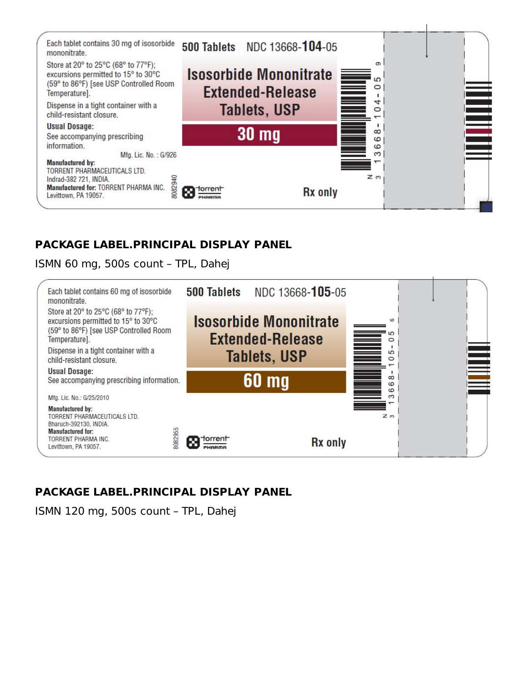

## **PACKAGE LABEL.PRINCIPAL DISPLAY PANEL**

ISMN 60 mg, 500s count – TPL, Dahej



## **PACKAGE LABEL.PRINCIPAL DISPLAY PANEL**

ISMN 120 mg, 500s count – TPL, Dahej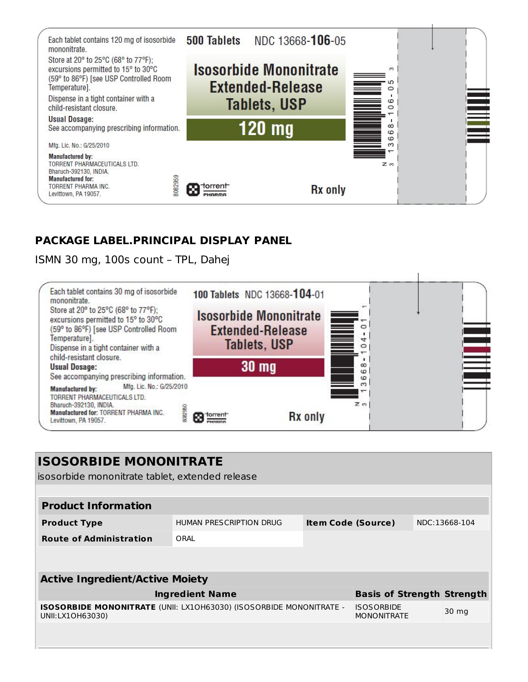

## **PACKAGE LABEL.PRINCIPAL DISPLAY PANEL**

ISMN 30 mg, 100s count – TPL, Dahej



| <b>ISOSORBIDE MONONITRATE</b><br>isosorbide mononitrate tablet, extended release               |                         |                           |                                         |  |               |
|------------------------------------------------------------------------------------------------|-------------------------|---------------------------|-----------------------------------------|--|---------------|
|                                                                                                |                         |                           |                                         |  |               |
| <b>Product Information</b>                                                                     |                         |                           |                                         |  |               |
| <b>Product Type</b>                                                                            | HUMAN PRESCRIPTION DRUG | <b>Item Code (Source)</b> |                                         |  | NDC:13668-104 |
| <b>Route of Administration</b>                                                                 | ORAL                    |                           |                                         |  |               |
|                                                                                                |                         |                           |                                         |  |               |
|                                                                                                |                         |                           |                                         |  |               |
| <b>Active Ingredient/Active Moiety</b>                                                         |                         |                           |                                         |  |               |
|                                                                                                | <b>Ingredient Name</b>  |                           | <b>Basis of Strength Strength</b>       |  |               |
| <b>ISOSORBIDE MONONITRATE</b> (UNII: LX10H63030) (ISOSORBIDE MONONITRATE -<br>UNII:LX10H63030) |                         |                           | <b>ISOSORBIDE</b><br><b>MONONITRATE</b> |  | 30 mg         |
|                                                                                                |                         |                           |                                         |  |               |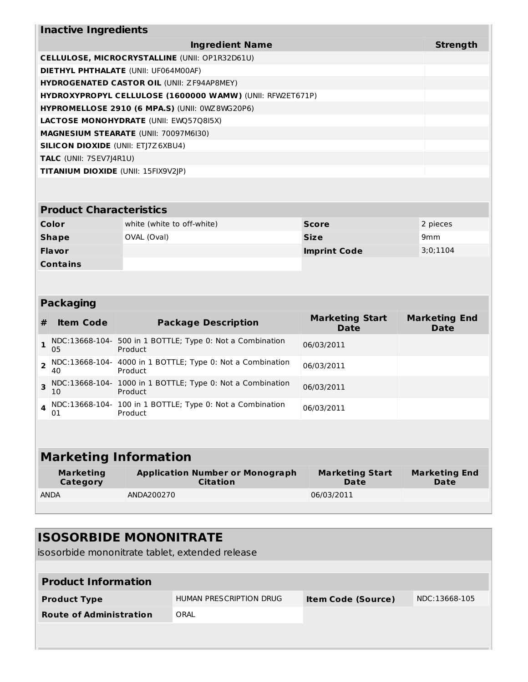| <b>Inactive Ingredients</b>                 |                                                           |              |                 |  |
|---------------------------------------------|-----------------------------------------------------------|--------------|-----------------|--|
|                                             | <b>Ingredient Name</b>                                    |              | <b>Strength</b> |  |
|                                             | CELLULOSE, MICROCRYSTALLINE (UNII: OP1R32D61U)            |              |                 |  |
| <b>DIETHYL PHTHALATE (UNII: UF064M00AF)</b> |                                                           |              |                 |  |
|                                             | <b>HYDROGENATED CASTOR OIL (UNII: ZF94AP8MEY)</b>         |              |                 |  |
|                                             | HYDROXYPROPYL CELLULOSE (1600000 WAMW) (UNII: RFW2ET671P) |              |                 |  |
|                                             | <b>HYPROMELLOSE 2910 (6 MPA.S) (UNII: 0WZ8WG20P6)</b>     |              |                 |  |
|                                             | <b>LACTOSE MONOHYDRATE (UNII: EWQ57Q8I5X)</b>             |              |                 |  |
|                                             | <b>MAGNESIUM STEARATE (UNII: 70097M6I30)</b>              |              |                 |  |
| <b>SILICON DIOXIDE (UNII: ETJ7Z6XBU4)</b>   |                                                           |              |                 |  |
| <b>TALC</b> (UNII: 7SEV7J4R1U)              |                                                           |              |                 |  |
| <b>TITANIUM DIOXIDE (UNII: 15FIX9V2JP)</b>  |                                                           |              |                 |  |
|                                             |                                                           |              |                 |  |
|                                             |                                                           |              |                 |  |
| <b>Product Characteristics</b>              |                                                           |              |                 |  |
| Color                                       | white (white to off-white)                                | <b>Score</b> | 2 pieces        |  |

| Color           | white (white to off-white) | <b>Score</b>        | 2 pieces        |
|-----------------|----------------------------|---------------------|-----------------|
| Shape           | OVAL (Oval)                | <b>Size</b>         | 9 <sub>mm</sub> |
| <b>Flavor</b>   |                            | <b>Imprint Code</b> | 3:0;1104        |
| <b>Contains</b> |                            |                     |                 |

## **Packaging**

L

| #        | <b>Item Code</b>     | <b>Package Description</b>                                            | <b>Marketing Start</b><br>Date | <b>Marketing End</b><br><b>Date</b> |
|----------|----------------------|-----------------------------------------------------------------------|--------------------------------|-------------------------------------|
|          | 05                   | NDC:13668-104- 500 in 1 BOTTLE; Type 0: Not a Combination<br>Product  | 06/03/2011                     |                                     |
|          | NDC:13668-104-<br>40 | 4000 in 1 BOTTLE; Type 0: Not a Combination<br>Product                | 06/03/2011                     |                                     |
|          | 10                   | NDC:13668-104- 1000 in 1 BOTTLE; Type 0: Not a Combination<br>Product | 06/03/2011                     |                                     |
| $\Delta$ | 01                   | NDC:13668-104- 100 in 1 BOTTLE; Type 0: Not a Combination<br>Product  | 06/03/2011                     |                                     |
|          |                      |                                                                       |                                |                                     |

| <b>Marketing Information</b> |                                                           |                                |                              |  |
|------------------------------|-----------------------------------------------------------|--------------------------------|------------------------------|--|
| <b>Marketing</b><br>Category | <b>Application Number or Monograph</b><br><b>Citation</b> | <b>Marketing Start</b><br>Date | <b>Marketing End</b><br>Date |  |
| <b>ANDA</b>                  | ANDA200270                                                | 06/03/2011                     |                              |  |
|                              |                                                           |                                |                              |  |

| <b>ISOSORBIDE MONONITRATE</b><br>isosorbide mononitrate tablet, extended release |                         |                           |               |  |  |
|----------------------------------------------------------------------------------|-------------------------|---------------------------|---------------|--|--|
| <b>Product Information</b>                                                       |                         |                           |               |  |  |
| <b>Product Type</b>                                                              | HUMAN PRESCRIPTION DRUG | <b>Item Code (Source)</b> | NDC:13668-105 |  |  |
| <b>Route of Administration</b>                                                   | ORAI                    |                           |               |  |  |
|                                                                                  |                         |                           |               |  |  |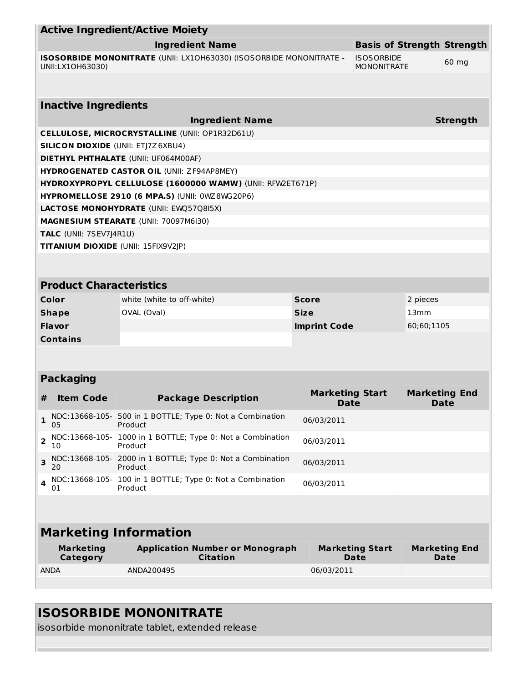| <b>Active Ingredient/Active Moiety</b>                                                                                             |                                      |                                                                       |                                |                                       |                  |                                     |
|------------------------------------------------------------------------------------------------------------------------------------|--------------------------------------|-----------------------------------------------------------------------|--------------------------------|---------------------------------------|------------------|-------------------------------------|
| <b>Basis of Strength Strength</b><br><b>Ingredient Name</b>                                                                        |                                      |                                                                       |                                |                                       |                  |                                     |
| ISOSORBIDE MONONITRATE (UNII: LX10H63030) (ISOSORBIDE MONONITRATE -<br><b>ISOSORBIDE</b><br>UNII:LX1OH63030)<br><b>MONONITRATE</b> |                                      |                                                                       |                                |                                       |                  | 60 mg                               |
|                                                                                                                                    |                                      |                                                                       |                                |                                       |                  |                                     |
|                                                                                                                                    | <b>Inactive Ingredients</b>          |                                                                       |                                |                                       |                  |                                     |
|                                                                                                                                    |                                      | <b>Ingredient Name</b>                                                |                                |                                       |                  | <b>Strength</b>                     |
|                                                                                                                                    |                                      | <b>CELLULOSE, MICROCRYSTALLINE (UNII: OP1R32D61U)</b>                 |                                |                                       |                  |                                     |
|                                                                                                                                    |                                      | <b>SILICON DIOXIDE (UNII: ETJ7Z6XBU4)</b>                             |                                |                                       |                  |                                     |
|                                                                                                                                    |                                      | <b>DIETHYL PHTHALATE (UNII: UF064M00AF)</b>                           |                                |                                       |                  |                                     |
|                                                                                                                                    |                                      | <b>HYDROGENATED CASTOR OIL (UNII: ZF94AP8MEY)</b>                     |                                |                                       |                  |                                     |
|                                                                                                                                    |                                      | HYDROXYPROPYL CELLULOSE (1600000 WAMW) (UNII: RFW2ET671P)             |                                |                                       |                  |                                     |
|                                                                                                                                    |                                      | HYPROMELLOSE 2910 (6 MPA.S) (UNII: 0WZ8WG20P6)                        |                                |                                       |                  |                                     |
|                                                                                                                                    |                                      | <b>LACTOSE MONOHYDRATE (UNII: EWQ57Q8I5X)</b>                         |                                |                                       |                  |                                     |
|                                                                                                                                    |                                      | MAGNESIUM STEARATE (UNII: 70097M6I30)                                 |                                |                                       |                  |                                     |
|                                                                                                                                    | TALC (UNII: 7SEV7J4R1U)              |                                                                       |                                |                                       |                  |                                     |
|                                                                                                                                    |                                      | <b>TITANIUM DIOXIDE (UNII: 15FIX9V2JP)</b>                            |                                |                                       |                  |                                     |
|                                                                                                                                    |                                      |                                                                       |                                |                                       |                  |                                     |
|                                                                                                                                    | <b>Product Characteristics</b>       |                                                                       |                                |                                       |                  |                                     |
|                                                                                                                                    | Color                                | white (white to off-white)                                            | <b>Score</b>                   |                                       | 2 pieces         |                                     |
|                                                                                                                                    | <b>Shape</b>                         | OVAL (Oval)                                                           | <b>Size</b>                    |                                       | 13 <sub>mm</sub> |                                     |
|                                                                                                                                    | <b>Flavor</b><br><b>Imprint Code</b> |                                                                       | 60;60;1105                     |                                       |                  |                                     |
| <b>Contains</b>                                                                                                                    |                                      |                                                                       |                                |                                       |                  |                                     |
|                                                                                                                                    |                                      |                                                                       |                                |                                       |                  |                                     |
|                                                                                                                                    | <b>Packaging</b>                     |                                                                       |                                |                                       |                  |                                     |
| #                                                                                                                                  | <b>Item Code</b>                     | <b>Package Description</b>                                            | <b>Marketing Start</b><br>Date |                                       |                  | <b>Marketing End</b><br>Date        |
| 1                                                                                                                                  | 05                                   | NDC:13668-105- 500 in 1 BOTTLE; Type 0: Not a Combination<br>Product  | 06/03/2011                     |                                       |                  |                                     |
| $\overline{2}$                                                                                                                     | NDC:13668-105-<br>10                 | 1000 in 1 BOTTLE; Type 0: Not a Combination<br>Product                | 06/03/2011                     |                                       |                  |                                     |
| 3                                                                                                                                  | 20                                   | NDC:13668-105- 2000 in 1 BOTTLE; Type 0: Not a Combination<br>Product | 06/03/2011                     |                                       |                  |                                     |
| 4                                                                                                                                  | NDC:13668-105-<br>01                 | 100 in 1 BOTTLE; Type 0: Not a Combination<br>Product                 | 06/03/2011                     |                                       |                  |                                     |
|                                                                                                                                    |                                      |                                                                       |                                |                                       |                  |                                     |
| <b>Marketing Information</b>                                                                                                       |                                      |                                                                       |                                |                                       |                  |                                     |
|                                                                                                                                    | <b>Marketing</b><br>Category         | <b>Application Number or Monograph</b><br><b>Citation</b>             |                                | <b>Marketing Start</b><br><b>Date</b> |                  | <b>Marketing End</b><br><b>Date</b> |
|                                                                                                                                    | <b>ANDA</b>                          | ANDA200495                                                            | 06/03/2011                     |                                       |                  |                                     |
|                                                                                                                                    |                                      |                                                                       |                                |                                       |                  |                                     |

# **ISOSORBIDE MONONITRATE**

isosorbide mononitrate tablet, extended release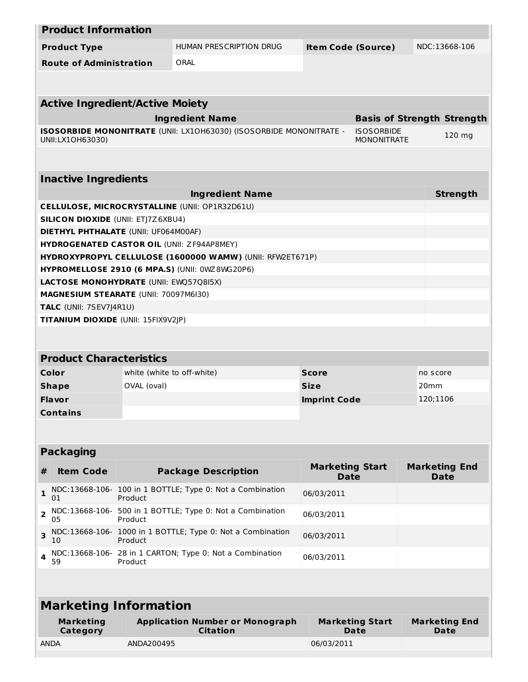| <b>Product Information</b>                        |                            |                                                                     |                                       |                                         |          |                                     |
|---------------------------------------------------|----------------------------|---------------------------------------------------------------------|---------------------------------------|-----------------------------------------|----------|-------------------------------------|
| <b>Product Type</b>                               |                            | HUMAN PRESCRIPTION DRUG                                             | <b>Item Code (Source)</b>             |                                         |          | NDC:13668-106                       |
| <b>Route of Administration</b>                    |                            | ORAL                                                                |                                       |                                         |          |                                     |
|                                                   |                            |                                                                     |                                       |                                         |          |                                     |
|                                                   |                            |                                                                     |                                       |                                         |          |                                     |
| <b>Active Ingredient/Active Moiety</b>            |                            |                                                                     |                                       |                                         |          |                                     |
|                                                   |                            | <b>Ingredient Name</b>                                              |                                       | <b>Basis of Strength Strength</b>       |          |                                     |
| UNII:LX1OH63030)                                  |                            | ISOSORBIDE MONONITRATE (UNII: LX10H63030) (ISOSORBIDE MONONITRATE - |                                       | <b>ISOSORBIDE</b><br><b>MONONITRATE</b> |          | 120 mg                              |
|                                                   |                            |                                                                     |                                       |                                         |          |                                     |
|                                                   |                            |                                                                     |                                       |                                         |          |                                     |
| <b>Inactive Ingredients</b>                       |                            |                                                                     |                                       |                                         |          |                                     |
|                                                   |                            | <b>Ingredient Name</b>                                              |                                       |                                         |          | <b>Strength</b>                     |
|                                                   |                            | <b>CELLULOSE, MICROCRYSTALLINE (UNII: OP1R32D61U)</b>               |                                       |                                         |          |                                     |
| <b>SILICON DIOXIDE (UNII: ETJ7Z6XBU4)</b>         |                            |                                                                     |                                       |                                         |          |                                     |
| <b>DIETHYL PHTHALATE (UNII: UF064M00AF)</b>       |                            |                                                                     |                                       |                                         |          |                                     |
| <b>HYDROGENATED CASTOR OIL (UNII: ZF94AP8MEY)</b> |                            |                                                                     |                                       |                                         |          |                                     |
|                                                   |                            | HYDROXYPROPYL CELLULOSE (1600000 WAMW) (UNII: RFW2ET671P)           |                                       |                                         |          |                                     |
|                                                   |                            | HYPROMELLOSE 2910 (6 MPA.S) (UNII: 0WZ 8WG20P6)                     |                                       |                                         |          |                                     |
| <b>LACTOSE MONOHYDRATE (UNII: EWQ57Q8I5X)</b>     |                            |                                                                     |                                       |                                         |          |                                     |
| MAGNESIUM STEARATE (UNII: 70097M6I30)             |                            |                                                                     |                                       |                                         |          |                                     |
| TALC (UNII: 7SEV7J4R1U)                           |                            |                                                                     |                                       |                                         |          |                                     |
| <b>TITANIUM DIOXIDE (UNII: 15FIX9V2JP)</b>        |                            |                                                                     |                                       |                                         |          |                                     |
|                                                   |                            |                                                                     |                                       |                                         |          |                                     |
| <b>Product Characteristics</b>                    |                            |                                                                     |                                       |                                         |          |                                     |
| Color                                             | white (white to off-white) |                                                                     | <b>Score</b>                          |                                         | no score |                                     |
| <b>Shape</b>                                      | OVAL (oval)                |                                                                     | <b>Size</b><br>20 <sub>mm</sub>       |                                         |          |                                     |
| <b>Flavor</b>                                     |                            |                                                                     | <b>Imprint Code</b>                   |                                         | 120;1106 |                                     |
| <b>Contains</b>                                   |                            |                                                                     |                                       |                                         |          |                                     |
|                                                   |                            |                                                                     |                                       |                                         |          |                                     |
|                                                   |                            |                                                                     |                                       |                                         |          |                                     |
| <b>Packaging</b>                                  |                            |                                                                     |                                       |                                         |          |                                     |
| <b>Item Code</b><br>#                             |                            | <b>Package Description</b>                                          | <b>Marketing Start</b><br><b>Date</b> |                                         |          | <b>Marketing End</b><br><b>Date</b> |
| NDC:13668-106-<br>1<br>01                         | Product                    | 100 in 1 BOTTLE; Type 0: Not a Combination                          | 06/03/2011                            |                                         |          |                                     |
| NDC:13668-106-<br>$\mathbf{z}$<br>05              | Product                    | 500 in 1 BOTTLE; Type 0: Not a Combination                          | 06/03/2011                            |                                         |          |                                     |
| 3<br>10                                           | Product                    | NDC:13668-106- 1000 in 1 BOTTLE; Type 0: Not a Combination          | 06/03/2011                            |                                         |          |                                     |
| NDC:13668-106-<br>59                              | Product                    | 28 in 1 CARTON; Type 0: Not a Combination                           | 06/03/2011                            |                                         |          |                                     |
|                                                   |                            |                                                                     |                                       |                                         |          |                                     |
| <b>Marketing Information</b>                      |                            |                                                                     |                                       |                                         |          |                                     |
|                                                   |                            |                                                                     |                                       |                                         |          |                                     |
| <b>Marketing</b><br><b>Category</b>               |                            | <b>Application Number or Monograph</b><br><b>Citation</b>           |                                       | <b>Marketing Start</b><br>Date          |          | <b>Marketing End</b><br>Date        |
| <b>ANDA</b>                                       | ANDA200495                 |                                                                     | 06/03/2011                            |                                         |          |                                     |
|                                                   |                            |                                                                     |                                       |                                         |          |                                     |